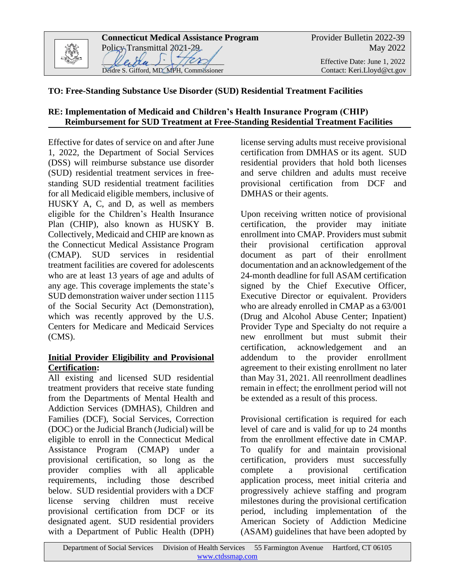

# **TO: Free-Standing Substance Use Disorder (SUD) Residential Treatment Facilities**

# **RE: Implementation of Medicaid and Children's Health Insurance Program (CHIP) Reimbursement for SUD Treatment at Free-Standing Residential Treatment Facilities**

Effective for dates of service on and after June 1, 2022, the Department of Social Services (DSS) will reimburse substance use disorder (SUD) residential treatment services in freestanding SUD residential treatment facilities for all Medicaid eligible members, inclusive of HUSKY A, C, and D, as well as members eligible for the Children's Health Insurance Plan (CHIP), also known as HUSKY B. Collectively, Medicaid and CHIP are known as the Connecticut Medical Assistance Program (CMAP). SUD services in residential treatment facilities are covered for adolescents who are at least 13 years of age and adults of any age. This coverage implements the state's SUD demonstration waiver under section 1115 of the Social Security Act (Demonstration), which was recently approved by the U.S. Centers for Medicare and Medicaid Services (CMS).

# **Initial Provider Eligibility and Provisional Certification:**

All existing and licensed SUD residential treatment providers that receive state funding from the Departments of Mental Health and Addiction Services (DMHAS), Children and Families (DCF), Social Services, Correction (DOC) or the Judicial Branch (Judicial) will be eligible to enroll in the Connecticut Medical Assistance Program (CMAP) under a provisional certification, so long as the provider complies with all applicable requirements, including those described below. SUD residential providers with a DCF license serving children must receive provisional certification from DCF or its designated agent. SUD residential providers with a Department of Public Health (DPH)

license serving adults must receive provisional certification from DMHAS or its agent. SUD residential providers that hold both licenses and serve children and adults must receive provisional certification from DCF and DMHAS or their agents.

Upon receiving written notice of provisional certification, the provider may initiate enrollment into CMAP. Providers must submit their provisional certification approval document as part of their enrollment documentation and an acknowledgement of the 24-month deadline for full ASAM certification signed by the Chief Executive Officer, Executive Director or equivalent. Providers who are already enrolled in CMAP as a 63/001 (Drug and Alcohol Abuse Center; Inpatient) Provider Type and Specialty do not require a new enrollment but must submit their certification, acknowledgement and an addendum to the provider enrollment agreement to their existing enrollment no later than May 31, 2021. All reenrollment deadlines remain in effect; the enrollment period will not be extended as a result of this process.

Provisional certification is required for each level of care and is valid for up to 24 months from the enrollment effective date in CMAP. To qualify for and maintain provisional certification, providers must successfully complete a provisional certification application process, meet initial criteria and progressively achieve staffing and program milestones during the provisional certification period, including implementation of the American Society of Addiction Medicine (ASAM) guidelines that have been adopted by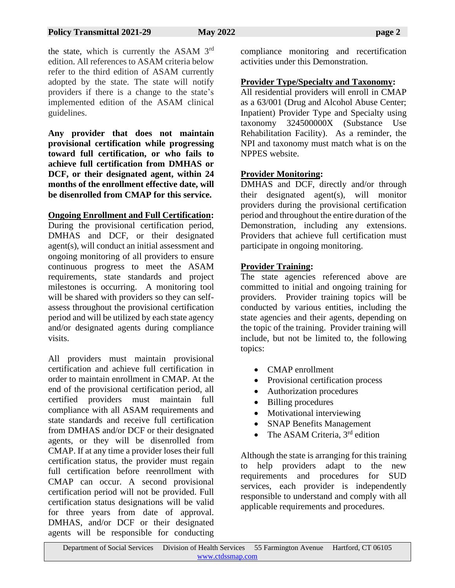the state, which is currently the ASAM 3<sup>rd</sup> edition. All references to ASAM criteria below refer to the third edition of ASAM currently adopted by the state. The state will notify providers if there is a change to the state's implemented edition of the ASAM clinical guidelines.

**Any provider that does not maintain provisional certification while progressing toward full certification, or who fails to achieve full certification from DMHAS or DCF, or their designated agent, within 24 months of the enrollment effective date, will be disenrolled from CMAP for this service.** 

# **Ongoing Enrollment and Full Certification:**

During the provisional certification period, DMHAS and DCF, or their designated agent(s), will conduct an initial assessment and ongoing monitoring of all providers to ensure continuous progress to meet the ASAM requirements, state standards and project milestones is occurring. A monitoring tool will be shared with providers so they can selfassess throughout the provisional certification period and will be utilized by each state agency and/or designated agents during compliance visits.

All providers must maintain provisional certification and achieve full certification in order to maintain enrollment in CMAP. At the end of the provisional certification period, all certified providers must maintain full compliance with all ASAM requirements and state standards and receive full certification from DMHAS and/or DCF or their designated agents, or they will be disenrolled from CMAP. If at any time a provider loses their full certification status, the provider must regain full certification before reenrollment with CMAP can occur. A second provisional certification period will not be provided. Full certification status designations will be valid for three years from date of approval. DMHAS, and/or DCF or their designated agents will be responsible for conducting

compliance monitoring and recertification activities under this Demonstration.

## **Provider Type/Specialty and Taxonomy:**

All residential providers will enroll in CMAP as a 63/001 (Drug and Alcohol Abuse Center; Inpatient) Provider Type and Specialty using taxonomy 324500000X (Substance Use Rehabilitation Facility). As a reminder, the NPI and taxonomy must match what is on the NPPES website.

# **Provider Monitoring:**

DMHAS and DCF, directly and/or through their designated agent(s), will monitor providers during the provisional certification period and throughout the entire duration of the Demonstration, including any extensions. Providers that achieve full certification must participate in ongoing monitoring.

# **Provider Training:**

The state agencies referenced above are committed to initial and ongoing training for providers. Provider training topics will be conducted by various entities, including the state agencies and their agents, depending on the topic of the training. Provider training will include, but not be limited to, the following topics:

- CMAP enrollment
- Provisional certification process
- Authorization procedures
- Billing procedures
- Motivational interviewing
- SNAP Benefits Management
- The ASAM Criteria,  $3<sup>rd</sup>$  edition

Although the state is arranging for this training to help providers adapt to the new requirements and procedures for SUD services, each provider is independently responsible to understand and comply with all applicable requirements and procedures.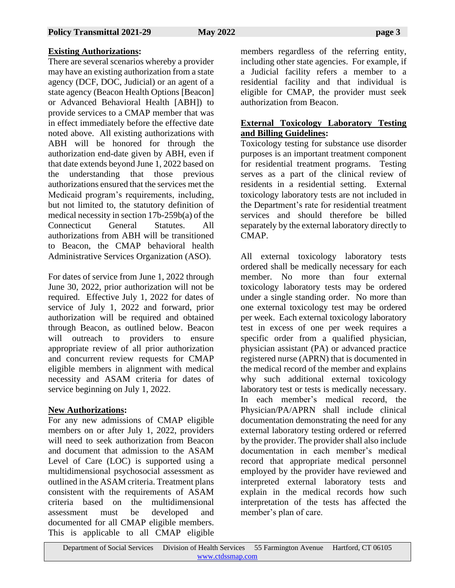# **Existing Authorizations:**

There are several scenarios whereby a provider may have an existing authorization from a state agency (DCF, DOC, Judicial) or an agent of a state agency (Beacon Health Options [Beacon] or Advanced Behavioral Health [ABH]) to provide services to a CMAP member that was in effect immediately before the effective date noted above. All existing authorizations with ABH will be honored for through the authorization end-date given by ABH, even if that date extends beyond June 1, 2022 based on the understanding that those previous authorizations ensured that the services met the Medicaid program's requirements, including, but not limited to, the statutory definition of medical necessity in section 17b-259b(a) of the Connecticut General Statutes. All authorizations from ABH will be transitioned to Beacon, the CMAP behavioral health Administrative Services Organization (ASO).

For dates of service from June 1, 2022 through June 30, 2022, prior authorization will not be required. Effective July 1, 2022 for dates of service of July 1, 2022 and forward, prior authorization will be required and obtained through Beacon, as outlined below. Beacon will outreach to providers to ensure appropriate review of all prior authorization and concurrent review requests for CMAP eligible members in alignment with medical necessity and ASAM criteria for dates of service beginning on July 1, 2022.

# **New Authorizations:**

For any new admissions of CMAP eligible members on or after July 1, 2022, providers will need to seek authorization from Beacon and document that admission to the ASAM Level of Care (LOC) is supported using a multidimensional psychosocial assessment as outlined in the ASAM criteria. Treatment plans consistent with the requirements of ASAM criteria based on the multidimensional assessment must be developed and documented for all CMAP eligible members. This is applicable to all CMAP eligible

members regardless of the referring entity, including other state agencies. For example, if a Judicial facility refers a member to a residential facility and that individual is eligible for CMAP, the provider must seek authorization from Beacon.

# **External Toxicology Laboratory Testing and Billing Guidelines:**

Toxicology testing for substance use disorder purposes is an important treatment component for residential treatment programs. Testing serves as a part of the clinical review of residents in a residential setting. External toxicology laboratory tests are not included in the Department's rate for residential treatment services and should therefore be billed separately by the external laboratory directly to CMAP.

All external toxicology laboratory tests ordered shall be medically necessary for each member. No more than four external toxicology laboratory tests may be ordered under a single standing order. No more than one external toxicology test may be ordered per week. Each external toxicology laboratory test in excess of one per week requires a specific order from a qualified physician, physician assistant (PA) or advanced practice registered nurse (APRN) that is documented in the medical record of the member and explains why such additional external toxicology laboratory test or tests is medically necessary. In each member's medical record, the Physician/PA/APRN shall include clinical documentation demonstrating the need for any external laboratory testing ordered or referred by the provider. The provider shall also include documentation in each member's medical record that appropriate medical personnel employed by the provider have reviewed and interpreted external laboratory tests and explain in the medical records how such interpretation of the tests has affected the member's plan of care.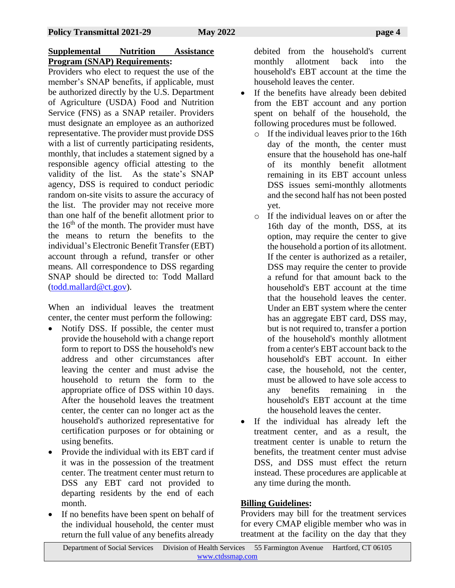# **Supplemental Nutrition Assistance Program (SNAP) Requirements:**

Providers who elect to request the use of the member's SNAP benefits, if applicable, must be authorized directly by the U.S. Department of Agriculture (USDA) Food and Nutrition Service (FNS) as a SNAP retailer. Providers must designate an employee as an authorized representative. The provider must provide DSS with a list of currently participating residents, monthly, that includes a statement signed by a responsible agency official attesting to the validity of the list. As the state's SNAP agency, DSS is required to conduct periodic random on-site visits to assure the accuracy of the list. The provider may not receive more than one half of the benefit allotment prior to the  $16<sup>th</sup>$  of the month. The provider must have the means to return the benefits to the individual's Electronic Benefit Transfer (EBT) account through a refund, transfer or other means. All correspondence to DSS regarding SNAP should be directed to: Todd Mallard [\(todd.mallard@ct.gov\)](mailto:todd.mallard@ct.gov).

When an individual leaves the treatment center, the center must perform the following:

- Notify DSS. If possible, the center must provide the household with a change report form to report to DSS the household's new address and other circumstances after leaving the center and must advise the household to return the form to the appropriate office of DSS within 10 days. After the household leaves the treatment center, the center can no longer act as the household's authorized representative for certification purposes or for obtaining or using benefits.
- Provide the individual with its EBT card if it was in the possession of the treatment center. The treatment center must return to DSS any EBT card not provided to departing residents by the end of each month.
- If no benefits have been spent on behalf of the individual household, the center must return the full value of any benefits already

debited from the household's current monthly allotment back into the household's EBT account at the time the household leaves the center.

- If the benefits have already been debited from the EBT account and any portion spent on behalf of the household, the following procedures must be followed.
	- o If the individual leaves prior to the 16th day of the month, the center must ensure that the household has one-half of its monthly benefit allotment remaining in its EBT account unless DSS issues semi-monthly allotments and the second half has not been posted yet.
	- o If the individual leaves on or after the 16th day of the month, DSS, at its option, may require the center to give the household a portion of its allotment. If the center is authorized as a retailer, DSS may require the center to provide a refund for that amount back to the household's EBT account at the time that the household leaves the center. Under an EBT system where the center has an aggregate EBT card, DSS may, but is not required to, transfer a portion of the household's monthly allotment from a center's EBT account back to the household's EBT account. In either case, the household, not the center, must be allowed to have sole access to any benefits remaining in the household's EBT account at the time the household leaves the center.
- If the individual has already left the treatment center, and as a result, the treatment center is unable to return the benefits, the treatment center must advise DSS, and DSS must effect the return instead. These procedures are applicable at any time during the month.

# **Billing Guidelines:**

Providers may bill for the treatment services for every CMAP eligible member who was in treatment at the facility on the day that they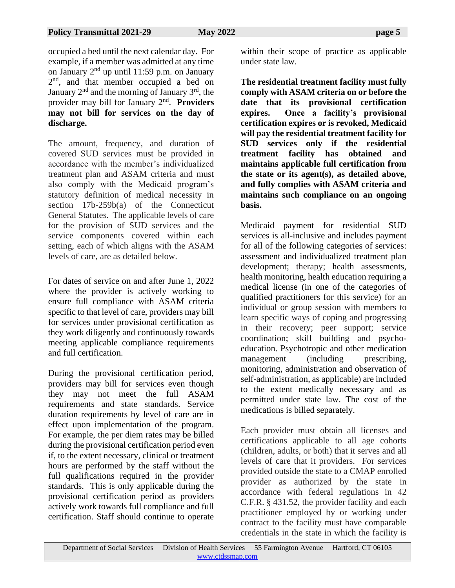occupied a bed until the next calendar day. For example, if a member was admitted at any time on January  $2<sup>nd</sup>$  up until 11:59 p.m. on January 2<sup>nd</sup>, and that member occupied a bed on January  $2<sup>nd</sup>$  and the morning of January  $3<sup>rd</sup>$ , the provider may bill for January 2nd . **Providers may not bill for services on the day of discharge.** 

The amount, frequency, and duration of covered SUD services must be provided in accordance with the member's individualized treatment plan and ASAM criteria and must also comply with the Medicaid program's statutory definition of medical necessity in section 17b-259b(a) of the Connecticut General Statutes. The applicable levels of care for the provision of SUD services and the service components covered within each setting, each of which aligns with the ASAM levels of care, are as detailed below.

For dates of service on and after June 1, 2022 where the provider is actively working to ensure full compliance with ASAM criteria specific to that level of care, providers may bill for services under provisional certification as they work diligently and continuously towards meeting applicable compliance requirements and full certification.

During the provisional certification period, providers may bill for services even though they may not meet the full ASAM requirements and state standards. Service duration requirements by level of care are in effect upon implementation of the program. For example, the per diem rates may be billed during the provisional certification period even if, to the extent necessary, clinical or treatment hours are performed by the staff without the full qualifications required in the provider standards. This is only applicable during the provisional certification period as providers actively work towards full compliance and full certification. Staff should continue to operate

within their scope of practice as applicable under state law.

**The residential treatment facility must fully comply with ASAM criteria on or before the date that its provisional certification expires. Once a facility's provisional certification expires or is revoked, Medicaid will pay the residential treatment facility for SUD services only if the residential treatment facility has obtained and maintains applicable full certification from the state or its agent(s), as detailed above, and fully complies with ASAM criteria and maintains such compliance on an ongoing basis.**

Medicaid payment for residential SUD services is all-inclusive and includes payment for all of the following categories of services: assessment and individualized treatment plan development; therapy; health assessments, health monitoring, health education requiring a medical license (in one of the categories of qualified practitioners for this service) for an individual or group session with members to learn specific ways of coping and progressing in their recovery; peer support; service coordination; skill building and psychoeducation. Psychotropic and other medication management (including prescribing, monitoring, administration and observation of self-administration, as applicable) are included to the extent medically necessary and as permitted under state law. The cost of the medications is billed separately.

Each provider must obtain all licenses and certifications applicable to all age cohorts (children, adults, or both) that it serves and all levels of care that it providers. For services provided outside the state to a CMAP enrolled provider as authorized by the state in accordance with federal regulations in 42 C.F.R. § 431.52, the provider facility and each practitioner employed by or working under contract to the facility must have comparable credentials in the state in which the facility is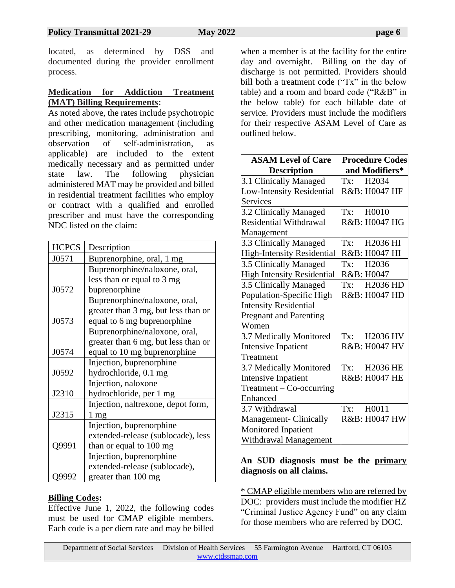located, as determined by DSS and documented during the provider enrollment process.

#### **Medication for Addiction Treatment (MAT) Billing Requirements:**

As noted above, the rates include psychotropic and other medication management (including prescribing, monitoring, administration and observation of self-administration, as applicable) are included to the extent medically necessary and as permitted under state law. The following physician administered MAT may be provided and billed in residential treatment facilities who employ or contract with a qualified and enrolled prescriber and must have the corresponding NDC listed on the claim:

| <b>HCPCS</b> | Description                         |  |
|--------------|-------------------------------------|--|
| J0571        | Buprenorphine, oral, 1 mg           |  |
|              | Buprenorphine/naloxone, oral,       |  |
|              | less than or equal to 3 mg          |  |
| J0572        | buprenorphine                       |  |
|              | Buprenorphine/naloxone, oral,       |  |
|              | greater than 3 mg, but less than or |  |
| J0573        | equal to 6 mg buprenorphine         |  |
|              | Buprenorphine/naloxone, oral,       |  |
|              | greater than 6 mg, but less than or |  |
| J0574        | equal to 10 mg buprenorphine        |  |
|              | Injection, buprenorphine            |  |
| J0592        | hydrochloride, 0.1 mg               |  |
|              | Injection, naloxone                 |  |
| J2310        | hydrochloride, per 1 mg             |  |
|              | Injection, naltrexone, depot form,  |  |
| J2315        | $1 \text{ mg}$                      |  |
|              | Injection, buprenorphine            |  |
|              | extended-release (sublocade), less  |  |
| Q9991        | than or equal to 100 mg             |  |
|              | Injection, buprenorphine            |  |
|              | extended-release (sublocade),       |  |
| )9992        | greater than 100 mg                 |  |

#### **Billing Codes:**

Effective June 1, 2022, the following codes must be used for CMAP eligible members. Each code is a per diem rate and may be billed

when a member is at the facility for the entire day and overnight. Billing on the day of discharge is not permitted. Providers should bill both a treatment code ("Tx" in the below table) and a room and board code ("R&B" in the below table) for each billable date of service. Providers must include the modifiers for their respective ASAM Level of Care as outlined below.

| <b>ASAM Level of Care</b>         | <b>Procedure Codes</b>                          |
|-----------------------------------|-------------------------------------------------|
| <b>Description</b>                | and Modifiers*                                  |
| 3.1 Clinically Managed            | H2034<br>Tx:                                    |
| <b>Low-Intensity Residential</b>  | R&B: H0047 HF                                   |
| Services                          |                                                 |
| 3.2 Clinically Managed            | Tx: H0010                                       |
| Residential Withdrawal            | R&B: H0047 HG                                   |
| Management                        |                                                 |
| 3.3 Clinically Managed            | $\mathbf{Tx:}$<br>H <sub>2036</sub> HI          |
| <b>High-Intensity Residential</b> | R&B: H0047 HI                                   |
| 3.5 Clinically Managed            | H2036<br>Tx:                                    |
| <b>High Intensity Residential</b> | R&B: H0047                                      |
| 3.5 Clinically Managed            | H <sub>2036</sub> H <sub>D</sub><br>Tx:         |
| Population-Specific High          | R&B: H0047 HD                                   |
| Intensity Residential-            |                                                 |
| <b>Pregnant and Parenting</b>     |                                                 |
| Women                             |                                                 |
| 3.7 Medically Monitored           | H2036 HV<br>$\mathbf{Tx:}$                      |
| <b>Intensive Inpatient</b>        | R&B: H0047 HV                                   |
| Treatment                         |                                                 |
| 3.7 Medically Monitored           | <b>H2036 HE</b><br>$\mathop{\rm Tx}\nolimits$ : |
| <b>Intensive Inpatient</b>        | R&B: H0047 HE                                   |
| Treatment - Co-occurring          |                                                 |
| Enhanced                          |                                                 |
| 3.7 Withdrawal                    | H0011<br>Tx:                                    |
| Management- Clinically            | R&B: H0047 HW                                   |
| Monitored Inpatient               |                                                 |
| Withdrawal Management             |                                                 |

# **An SUD diagnosis must be the primary diagnosis on all claims.**

\* CMAP eligible members who are referred by DOC: providers must include the modifier HZ "Criminal Justice Agency Fund" on any claim for those members who are referred by DOC.